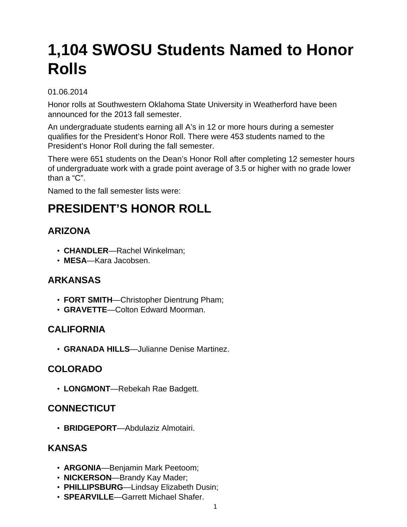# **1,104 SWOSU Students Named to Honor Rolls**

#### 01.06.2014

Honor rolls at Southwestern Oklahoma State University in Weatherford have been announced for the 2013 fall semester.

An undergraduate students earning all A's in 12 or more hours during a semester qualifies for the President's Honor Roll. There were 453 students named to the President's Honor Roll during the fall semester.

There were 651 students on the Dean's Honor Roll after completing 12 semester hours of undergraduate work with a grade point average of 3.5 or higher with no grade lower than a "C".

Named to the fall semester lists were:

# **PRESIDENT'S HONOR ROLL**

# **ARIZONA**

- **CHANDLER**—Rachel Winkelman;
- **MESA**—Kara Jacobsen.

# **ARKANSAS**

- **FORT SMITH**—Christopher Dientrung Pham;
- **GRAVETTE**—Colton Edward Moorman.

# **CALIFORNIA**

• **GRANADA HILLS**—Julianne Denise Martinez.

# **COLORADO**

• **LONGMONT**—Rebekah Rae Badgett.

# **CONNECTICUT**

• **BRIDGEPORT**—Abdulaziz Almotairi.

# **KANSAS**

- **ARGONIA**—Benjamin Mark Peetoom;
- **NICKERSON**—Brandy Kay Mader;
- **PHILLIPSBURG**—Lindsay Elizabeth Dusin;
- **SPEARVILLE**—Garrett Michael Shafer.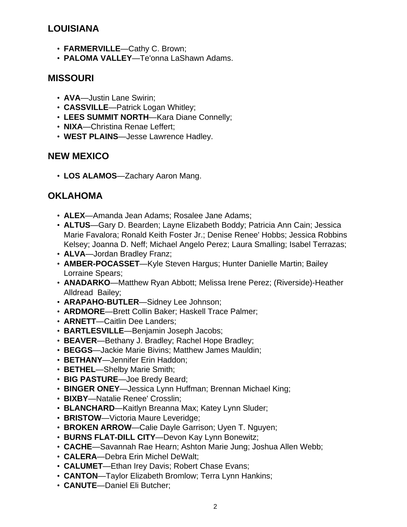# **LOUISIANA**

- **FARMERVILLE**—Cathy C. Brown;
- **PALOMA VALLEY**—Te'onna LaShawn Adams.

#### **MISSOURI**

- **AVA**—Justin Lane Swirin;
- **CASSVILLE**—Patrick Logan Whitley;
- **LEES SUMMIT NORTH**—Kara Diane Connelly;
- **NIXA**—Christina Renae Leffert;
- **WEST PLAINS**—Jesse Lawrence Hadley.

#### **NEW MEXICO**

• **LOS ALAMOS**—Zachary Aaron Mang.

# **OKLAHOMA**

- **ALEX**—Amanda Jean Adams; Rosalee Jane Adams;
- **ALTUS**—Gary D. Bearden; Layne Elizabeth Boddy; Patricia Ann Cain; Jessica Marie Favalora; Ronald Keith Foster Jr.; Denise Renee' Hobbs; Jessica Robbins Kelsey; Joanna D. Neff; Michael Angelo Perez; Laura Smalling; Isabel Terrazas;
- **ALVA**—Jordan Bradley Franz;
- **AMBER-POCASSET**—Kyle Steven Hargus; Hunter Danielle Martin; Bailey Lorraine Spears;
- **ANADARKO**—Matthew Ryan Abbott; Melissa Irene Perez; (Riverside)-Heather Alldread Bailey;
- **ARAPAHO-BUTLER**—Sidney Lee Johnson;
- **ARDMORE**—Brett Collin Baker; Haskell Trace Palmer;
- **ARNETT**—Caitlin Dee Landers;
- **BARTLESVILLE**—Benjamin Joseph Jacobs;
- **BEAVER**—Bethany J. Bradley; Rachel Hope Bradley;
- **BEGGS**—Jackie Marie Bivins; Matthew James Mauldin;
- **BETHANY**—Jennifer Erin Haddon;
- **BETHEL**—Shelby Marie Smith;
- **BIG PASTURE**—Joe Bredy Beard;
- **BINGER ONEY**—Jessica Lynn Huffman; Brennan Michael King;
- **BIXBY**—Natalie Renee' Crosslin;
- **BLANCHARD**—Kaitlyn Breanna Max; Katey Lynn Sluder;
- **BRISTOW**—Victoria Maure Leveridge;
- **BROKEN ARROW**—Calie Dayle Garrison; Uyen T. Nguyen;
- **BURNS FLAT-DILL CITY**—Devon Kay Lynn Bonewitz;
- **CACHE**—Savannah Rae Hearn; Ashton Marie Jung; Joshua Allen Webb;
- **CALERA**—Debra Erin Michel DeWalt;
- **CALUMET**—Ethan Irey Davis; Robert Chase Evans;
- **CANTON**—Taylor Elizabeth Bromlow; Terra Lynn Hankins;
- **CANUTE**—Daniel Eli Butcher;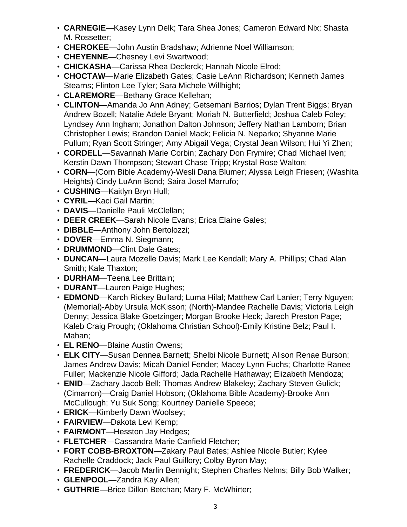- **CARNEGIE**—Kasey Lynn Delk; Tara Shea Jones; Cameron Edward Nix; Shasta M. Rossetter;
- **CHEROKEE**—John Austin Bradshaw; Adrienne Noel Williamson;
- **CHEYENNE**—Chesney Levi Swartwood;
- **CHICKASHA**—Carissa Rhea Declerck; Hannah Nicole Elrod;
- **CHOCTAW**—Marie Elizabeth Gates; Casie LeAnn Richardson; Kenneth James Stearns; Flinton Lee Tyler; Sara Michele Willhight;
- **CLAREMORE**—Bethany Grace Kellehan;
- **CLINTON**—Amanda Jo Ann Adney; Getsemani Barrios; Dylan Trent Biggs; Bryan Andrew Bozell; Natalie Adele Bryant; Moriah N. Butterfield; Joshua Caleb Foley; Lyndsey Ann Ingham; Jonathon Dalton Johnson; Jeffery Nathan Lamborn; Brian Christopher Lewis; Brandon Daniel Mack; Felicia N. Neparko; Shyanne Marie Pullum; Ryan Scott Stringer; Amy Abigail Vega; Crystal Jean Wilson; Hui Yi Zhen;
- **CORDELL**—Savannah Marie Corbin; Zachary Don Frymire; Chad Michael Iven; Kerstin Dawn Thompson; Stewart Chase Tripp; Krystal Rose Walton;
- **CORN**—(Corn Bible Academy)-Wesli Dana Blumer; Alyssa Leigh Friesen; (Washita Heights)-Cindy LuAnn Bond; Saira Josel Marrufo;
- **CUSHING**—Kaitlyn Bryn Hull;
- **CYRIL**—Kaci Gail Martin;
- **DAVIS**—Danielle Pauli McClellan;
- **DEER CREEK**—Sarah Nicole Evans; Erica Elaine Gales;
- **DIBBLE**—Anthony John Bertolozzi;
- **DOVER**—Emma N. Siegmann;
- **DRUMMOND**—Clint Dale Gates;
- **DUNCAN**—Laura Mozelle Davis; Mark Lee Kendall; Mary A. Phillips; Chad Alan Smith; Kale Thaxton;
- **DURHAM**—Teena Lee Brittain;
- **DURANT**—Lauren Paige Hughes;
- **EDMOND**—Karch Rickey Bullard; Luma Hilal; Matthew Carl Lanier; Terry Nguyen; (Memorial)-Abby Ursula McKisson; (North)-Mandee Rachelle Davis; Victoria Leigh Denny; Jessica Blake Goetzinger; Morgan Brooke Heck; Jarech Preston Page; Kaleb Craig Prough; (Oklahoma Christian School)-Emily Kristine Belz; Paul I. Mahan;
- **EL RENO**—Blaine Austin Owens;
- **ELK CITY**—Susan Dennea Barnett; Shelbi Nicole Burnett; Alison Renae Burson; James Andrew Davis; Micah Daniel Fender; Macey Lynn Fuchs; Charlotte Ranee Fuller; Mackenzie Nicole Gifford; Jada Rachelle Hathaway; Elizabeth Mendoza;
- **ENID**—Zachary Jacob Bell; Thomas Andrew Blakeley; Zachary Steven Gulick; (Cimarron)—Craig Daniel Hobson; (Oklahoma Bible Academy)-Brooke Ann McCullough; Yu Suk Song; Kourtney Danielle Speece;
- **ERICK**—Kimberly Dawn Woolsey;
- **FAIRVIEW**—Dakota Levi Kemp;
- **FAIRMONT**—Hesston Jay Hedges;
- **FLETCHER**—Cassandra Marie Canfield Fletcher;
- **FORT COBB-BROXTON**—Zakary Paul Bates; Ashlee Nicole Butler; Kylee Rachelle Craddock; Jack Paul Guillory; Colby Byron May;
- **FREDERICK**—Jacob Marlin Bennight; Stephen Charles Nelms; Billy Bob Walker;
- **GLENPOOL**—Zandra Kay Allen;
- **GUTHRIE**—Brice Dillon Betchan; Mary F. McWhirter;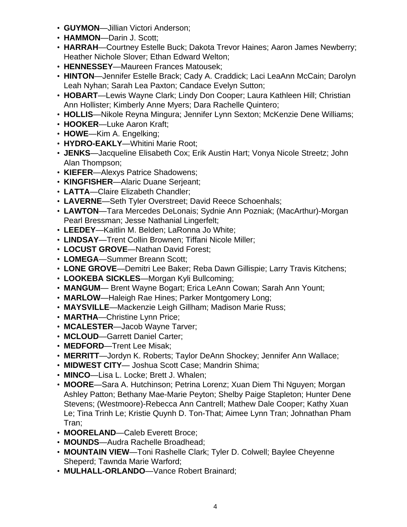- **GUYMON**—Jillian Victori Anderson;
- **HAMMON**—Darin J. Scott;
- **HARRAH**—Courtney Estelle Buck; Dakota Trevor Haines; Aaron James Newberry; Heather Nichole Slover; Ethan Edward Welton;
- **HENNESSEY**—Maureen Frances Matousek;
- **HINTON**—Jennifer Estelle Brack; Cady A. Craddick; Laci LeaAnn McCain; Darolyn Leah Nyhan; Sarah Lea Paxton; Candace Evelyn Sutton;
- **HOBART**—Lewis Wayne Clark; Lindy Don Cooper; Laura Kathleen Hill; Christian Ann Hollister; Kimberly Anne Myers; Dara Rachelle Quintero;
- **HOLLIS**—Nikole Reyna Mingura; Jennifer Lynn Sexton; McKenzie Dene Williams;
- **HOOKER**—Luke Aaron Kraft;
- **HOWE**—Kim A. Engelking;
- **HYDRO-EAKLY**—Whitini Marie Root;
- **JENKS**—Jacqueline Elisabeth Cox; Erik Austin Hart; Vonya Nicole Streetz; John Alan Thompson;
- **KIEFER**—Alexys Patrice Shadowens;
- **KINGFISHER**—Alaric Duane Serjeant;
- **LATTA**—Claire Elizabeth Chandler;
- **LAVERNE**—Seth Tyler Overstreet; David Reece Schoenhals;
- **LAWTON**—Tara Mercedes DeLonais; Sydnie Ann Pozniak; (MacArthur)-Morgan Pearl Bressman; Jesse Nathanial Lingerfelt;
- **LEEDEY**—Kaitlin M. Belden; LaRonna Jo White;
- **LINDSAY**—Trent Collin Brownen; Tiffani Nicole Miller;
- **LOCUST GROVE**—Nathan David Forest;
- **LOMEGA**—Summer Breann Scott;
- **LONE GROVE**—Demitri Lee Baker; Reba Dawn Gillispie; Larry Travis Kitchens;
- **LOOKEBA SICKLES**—Morgan Kyli Bullcoming;
- **MANGUM** Brent Wayne Bogart; Erica LeAnn Cowan; Sarah Ann Yount;
- **MARLOW**—Haleigh Rae Hines; Parker Montgomery Long;
- **MAYSVILLE**—Mackenzie Leigh Gillham; Madison Marie Russ;
- **MARTHA**—Christine Lynn Price;
- **MCALESTER**—Jacob Wayne Tarver;
- **MCLOUD**—Garrett Daniel Carter;
- **MEDFORD**—Trent Lee Misak;
- **MERRITT**—Jordyn K. Roberts; Taylor DeAnn Shockey; Jennifer Ann Wallace;
- **MIDWEST CITY** Joshua Scott Case; Mandrin Shima;
- **MINCO**—Lisa L. Locke; Brett J. Whalen;
- **MOORE**—Sara A. Hutchinson; Petrina Lorenz; Xuan Diem Thi Nguyen; Morgan Ashley Patton; Bethany Mae-Marie Peyton; Shelby Paige Stapleton; Hunter Dene Stevens; (Westmoore)-Rebecca Ann Cantrell; Mathew Dale Cooper; Kathy Xuan Le; Tina Trinh Le; Kristie Quynh D. Ton-That; Aimee Lynn Tran; Johnathan Pham Tran;
- **MOORELAND**—Caleb Everett Broce;
- **MOUNDS**—Audra Rachelle Broadhead;
- **MOUNTAIN VIEW**—Toni Rashelle Clark; Tyler D. Colwell; Baylee Cheyenne Sheperd; Tawnda Marie Warford;
- **MULHALL-ORLANDO**—Vance Robert Brainard;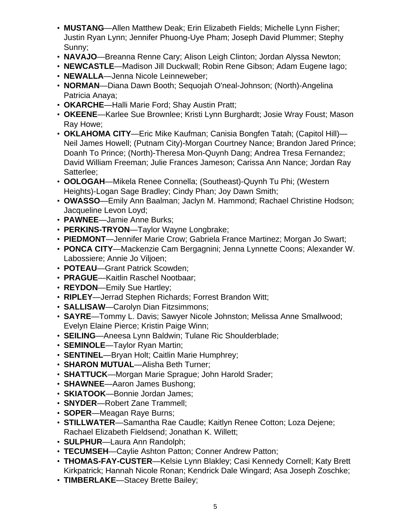- **MUSTANG**—Allen Matthew Deak; Erin Elizabeth Fields; Michelle Lynn Fisher; Justin Ryan Lynn; Jennifer Phuong-Uye Pham; Joseph David Plummer; Stephy Sunny;
- **NAVAJO**—Breanna Renne Cary; Alison Leigh Clinton; Jordan Alyssa Newton;
- **NEWCASTLE**—Madison Jill Duckwall; Robin Rene Gibson; Adam Eugene Iago;
- **NEWALLA**—Jenna Nicole Leinneweber;
- **NORMAN**—Diana Dawn Booth; Sequojah O'neal-Johnson; (North)-Angelina Patricia Anaya;
- **OKARCHE**—Halli Marie Ford; Shay Austin Pratt;
- **OKEENE**—Karlee Sue Brownlee; Kristi Lynn Burghardt; Josie Wray Foust; Mason Ray Howe;
- **OKLAHOMA CITY**—Eric Mike Kaufman; Canisia Bongfen Tatah; (Capitol Hill)— Neil James Howell; (Putnam City)-Morgan Courtney Nance; Brandon Jared Prince; Doanh To Prince; (North)-Theresa Mon-Quynh Dang; Andrea Tresa Fernandez; David William Freeman; Julie Frances Jameson; Carissa Ann Nance; Jordan Ray Satterlee;
- **OOLOGAH**—Mikela Renee Connella; (Southeast)-Quynh Tu Phi; (Western Heights)-Logan Sage Bradley; Cindy Phan; Joy Dawn Smith;
- **OWASSO**—Emily Ann Baalman; Jaclyn M. Hammond; Rachael Christine Hodson; Jacqueline Levon Loyd;
- **PAWNEE**—Jamie Anne Burks;
- **PERKINS-TRYON**—Taylor Wayne Longbrake;
- **PIEDMONT**—Jennifer Marie Crow; Gabriela France Martinez; Morgan Jo Swart;
- **PONCA CITY**—Mackenzie Cam Bergagnini; Jenna Lynnette Coons; Alexander W. Labossiere; Annie Jo Viljoen;
- **POTEAU**—Grant Patrick Scowden;
- **PRAGUE**—Kaitlin Raschel Nootbaar;
- **REYDON**—Emily Sue Hartley;
- **RIPLEY**—Jerrad Stephen Richards; Forrest Brandon Witt;
- **SALLISAW**—Carolyn Dian Fitzsimmons;
- **SAYRE**—Tommy L. Davis; Sawyer Nicole Johnston; Melissa Anne Smallwood; Evelyn Elaine Pierce; Kristin Paige Winn;
- **SEILING**—Aneesa Lynn Baldwin; Tulane Ric Shoulderblade;
- **SEMINOLE**—Taylor Ryan Martin;
- **SENTINEL**—Bryan Holt; Caitlin Marie Humphrey;
- **SHARON MUTUAL**—Alisha Beth Turner;
- **SHATTUCK**—Morgan Marie Sprague; John Harold Srader;
- **SHAWNEE**—Aaron James Bushong;
- **SKIATOOK**—Bonnie Jordan James;
- **SNYDER**—Robert Zane Trammell;
- **SOPER**—Meagan Raye Burns;
- **STILLWATER**—Samantha Rae Caudle; Kaitlyn Renee Cotton; Loza Dejene; Rachael Elizabeth Fieldsend; Jonathan K. Willett;
- **SULPHUR**—Laura Ann Randolph;
- **TECUMSEH**—Caylie Ashton Patton; Conner Andrew Patton;
- **THOMAS-FAY-CUSTER**—Kelsie Lynn Blakley; Casi Kennedy Cornell; Katy Brett Kirkpatrick; Hannah Nicole Ronan; Kendrick Dale Wingard; Asa Joseph Zoschke;
- **TIMBERLAKE**—Stacey Brette Bailey;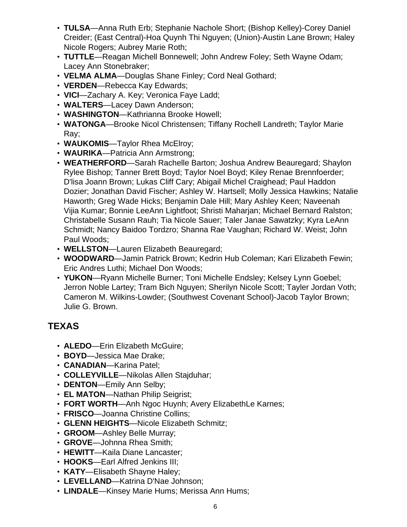- **TULSA**—Anna Ruth Erb; Stephanie Nachole Short; (Bishop Kelley)-Corey Daniel Creider; (East Central)-Hoa Quynh Thi Nguyen; (Union)-Austin Lane Brown; Haley Nicole Rogers; Aubrey Marie Roth;
- **TUTTLE**—Reagan Michell Bonnewell; John Andrew Foley; Seth Wayne Odam; Lacey Ann Stonebraker;
- **VELMA ALMA**—Douglas Shane Finley; Cord Neal Gothard;
- **VERDEN**—Rebecca Kay Edwards;
- **VICI**—Zachary A. Key; Veronica Faye Ladd;
- **WALTERS**—Lacey Dawn Anderson;
- **WASHINGTON**—Kathrianna Brooke Howell;
- **WATONGA**—Brooke Nicol Christensen; Tiffany Rochell Landreth; Taylor Marie Ray;
- **WAUKOMIS**—Taylor Rhea McElroy;
- **WAURIKA**—Patricia Ann Armstrong;
- **WEATHERFORD**—Sarah Rachelle Barton; Joshua Andrew Beauregard; Shaylon Rylee Bishop; Tanner Brett Boyd; Taylor Noel Boyd; Kiley Renae Brennfoerder; D'lisa Joann Brown; Lukas Cliff Cary; Abigail Michel Craighead; Paul Haddon Dozier; Jonathan David Fischer; Ashley W. Hartsell; Molly Jessica Hawkins; Natalie Haworth; Greg Wade Hicks; Benjamin Dale Hill; Mary Ashley Keen; Naveenah Vijia Kumar; Bonnie LeeAnn Lightfoot; Shristi Maharjan; Michael Bernard Ralston; Christabelle Susann Rauh; Tia Nicole Sauer; Taler Janae Sawatzky; Kyra LeAnn Schmidt; Nancy Baidoo Tordzro; Shanna Rae Vaughan; Richard W. Weist; John Paul Woods;
- **WELLSTON**—Lauren Elizabeth Beauregard;
- **WOODWARD**—Jamin Patrick Brown; Kedrin Hub Coleman; Kari Elizabeth Fewin; Eric Andres Luthi; Michael Don Woods;
- **YUKON**—Ryann Michelle Burner; Toni Michelle Endsley; Kelsey Lynn Goebel; Jerron Noble Lartey; Tram Bich Nguyen; Sherilyn Nicole Scott; Tayler Jordan Voth; Cameron M. Wilkins-Lowder; (Southwest Covenant School)-Jacob Taylor Brown; Julie G. Brown.

# **TEXAS**

- **ALEDO**—Erin Elizabeth McGuire;
- **BOYD**—Jessica Mae Drake;
- **CANADIAN**—Karina Patel;
- **COLLEYVILLE**—Nikolas Allen Stajduhar;
- **DENTON**—Emily Ann Selby;
- **EL MATON**—Nathan Philip Seigrist;
- **FORT WORTH**—Anh Ngoc Huynh; Avery ElizabethLe Karnes;
- **FRISCO**—Joanna Christine Collins;
- **GLENN HEIGHTS**—Nicole Elizabeth Schmitz;
- **GROOM**—Ashley Belle Murray;
- **GROVE**—Johnna Rhea Smith;
- **HEWITT**—Kaila Diane Lancaster;
- **HOOKS**—Earl Alfred Jenkins III;
- **KATY**—Elisabeth Shayne Haley;
- **LEVELLAND**—Katrina D'Nae Johnson;
- **LINDALE**—Kinsey Marie Hums; Merissa Ann Hums;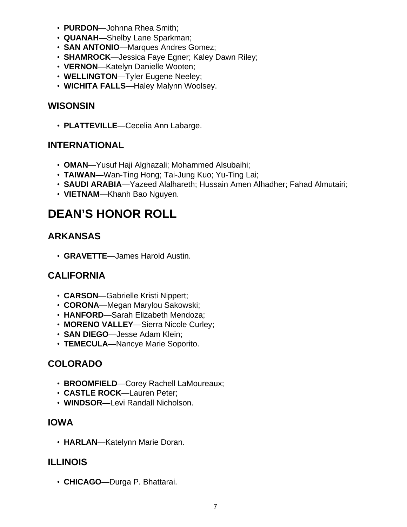- **PURDON**—Johnna Rhea Smith;
- **QUANAH**—Shelby Lane Sparkman;
- **SAN ANTONIO**—Marques Andres Gomez;
- **SHAMROCK**—Jessica Faye Egner; Kaley Dawn Riley;
- **VERNON**—Katelyn Danielle Wooten;
- **WELLINGTON**—Tyler Eugene Neeley;
- **WICHITA FALLS**—Haley Malynn Woolsey.

#### **WISONSIN**

• **PLATTEVILLE**—Cecelia Ann Labarge.

# **INTERNATIONAL**

- **OMAN**—Yusuf Haji Alghazali; Mohammed Alsubaihi;
- **TAIWAN**—Wan-Ting Hong; Tai-Jung Kuo; Yu-Ting Lai;
- **SAUDI ARABIA**—Yazeed Alalhareth; Hussain Amen Alhadher; Fahad Almutairi;
- **VIETNAM**—Khanh Bao Nguyen.

# **DEAN'S HONOR ROLL**

# **ARKANSAS**

• **GRAVETTE**—James Harold Austin.

# **CALIFORNIA**

- **CARSON**—Gabrielle Kristi Nippert;
- **CORONA**—Megan Marylou Sakowski;
- **HANFORD**—Sarah Elizabeth Mendoza;
- **MORENO VALLEY**—Sierra Nicole Curley;
- **SAN DIEGO**—Jesse Adam Klein;
- **TEMECULA**—Nancye Marie Soporito.

# **COLORADO**

- **BROOMFIELD**—Corey Rachell LaMoureaux;
- **CASTLE ROCK**—Lauren Peter;
- **WINDSOR**—Levi Randall Nicholson.

# **IOWA**

• **HARLAN**—Katelynn Marie Doran.

# **ILLINOIS**

• **CHICAGO**—Durga P. Bhattarai.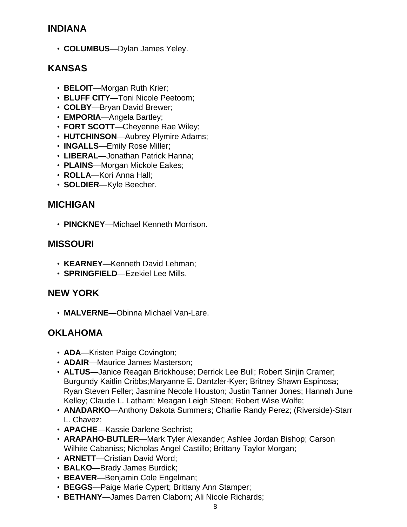# **INDIANA**

• **COLUMBUS**—Dylan James Yeley.

# **KANSAS**

- **BELOIT**—Morgan Ruth Krier;
- **BLUFF CITY**—Toni Nicole Peetoom;
- **COLBY**—Bryan David Brewer;
- **EMPORIA**—Angela Bartley;
- **FORT SCOTT**—Cheyenne Rae Wiley;
- **HUTCHINSON**—Aubrey Plymire Adams;
- **INGALLS**—Emily Rose Miller;
- **LIBERAL**—Jonathan Patrick Hanna;
- **PLAINS**—Morgan Mickole Eakes;
- **ROLLA**—Kori Anna Hall;
- **SOLDIER**—Kyle Beecher.

#### **MICHIGAN**

• **PINCKNEY**—Michael Kenneth Morrison.

#### **MISSOURI**

- **KEARNEY**—Kenneth David Lehman;
- **SPRINGFIELD**—Ezekiel Lee Mills.

#### **NEW YORK**

• **MALVERNE**—Obinna Michael Van-Lare.

# **OKLAHOMA**

- **ADA**—Kristen Paige Covington;
- **ADAIR**—Maurice James Masterson;
- **ALTUS**—Janice Reagan Brickhouse; Derrick Lee Bull; Robert Sinjin Cramer; Burgundy Kaitlin Cribbs;Maryanne E. Dantzler-Kyer; Britney Shawn Espinosa; Ryan Steven Feller; Jasmine Necole Houston; Justin Tanner Jones; Hannah June Kelley; Claude L. Latham; Meagan Leigh Steen; Robert Wise Wolfe;
- **ANADARKO**—Anthony Dakota Summers; Charlie Randy Perez; (Riverside)-Starr L. Chavez;
- **APACHE**—Kassie Darlene Sechrist;
- **ARAPAHO-BUTLER**—Mark Tyler Alexander; Ashlee Jordan Bishop; Carson Wilhite Cabaniss; Nicholas Angel Castillo; Brittany Taylor Morgan;
- **ARNETT**—Cristian David Word;
- **BALKO**—Brady James Burdick;
- **BEAVER**—Benjamin Cole Engelman;
- **BEGGS**—Paige Marie Cypert; Brittany Ann Stamper;
- **BETHANY**—James Darren Claborn; Ali Nicole Richards;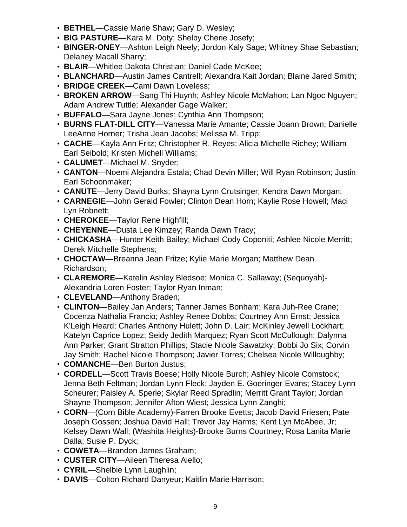- **BETHEL**—Cassie Marie Shaw; Gary D. Wesley;
- **BIG PASTURE**—Kara M. Doty; Shelby Cherie Josefy;
- **BINGER-ONEY**—Ashton Leigh Neely; Jordon Kaly Sage; Whitney Shae Sebastian; Delaney Macall Sharry;
- **BLAIR**—Whitlee Dakota Christian; Daniel Cade McKee;
- **BLANCHARD**—Austin James Cantrell; Alexandra Kait Jordan; Blaine Jared Smith;
- **BRIDGE CREEK**—Cami Dawn Loveless;
- **BROKEN ARROW**—Sang Thi Huynh; Ashley Nicole McMahon; Lan Ngoc Nguyen; Adam Andrew Tuttle; Alexander Gage Walker;
- **BUFFALO**—Sara Jayne Jones; Cynthia Ann Thompson;
- **BURNS FLAT-DILL CITY**—Vanessa Marie Amante; Cassie Joann Brown; Danielle LeeAnne Horner; Trisha Jean Jacobs; Melissa M. Tripp;
- **CACHE**—Kayla Ann Fritz; Christopher R. Reyes; Alicia Michelle Richey; William Earl Seibold; Kristen Michell Williams;
- **CALUMET**—Michael M. Snyder;
- **CANTON**—Noemi Alejandra Estala; Chad Devin Miller; Will Ryan Robinson; Justin Earl Schoonmaker;
- **CANUTE**—Jerry David Burks; Shayna Lynn Crutsinger; Kendra Dawn Morgan;
- **CARNEGIE**—John Gerald Fowler; Clinton Dean Horn; Kaylie Rose Howell; Maci Lyn Robnett;
- **CHEROKEE**—Taylor Rene Highfill;
- **CHEYENNE**—Dusta Lee Kimzey; Randa Dawn Tracy;
- **CHICKASHA**—Hunter Keith Bailey; Michael Cody Coponiti; Ashlee Nicole Merritt; Derek Mitchelle Stephens;
- **CHOCTAW**—Breanna Jean Fritze; Kylie Marie Morgan; Matthew Dean Richardson;
- **CLAREMORE**—Katelin Ashley Bledsoe; Monica C. Sallaway; (Sequoyah)- Alexandria Loren Foster; Taylor Ryan Inman;
- **CLEVELAND**—Anthony Braden;
- **CLINTON**—Bailey Jan Anders; Tanner James Bonham; Kara Juh-Ree Crane; Cocenza Nathalia Francio; Ashley Renee Dobbs; Courtney Ann Ernst; Jessica K'Leigh Heard; Charles Anthony Hulett; John D. Lair; McKinley Jewell Lockhart; Katelyn Caprice Lopez; Seidy Jedith Marquez; Ryan Scott McCullough; Dalynna Ann Parker; Grant Stratton Phillips; Stacie Nicole Sawatzky; Bobbi Jo Six; Corvin Jay Smith; Rachel Nicole Thompson; Javier Torres; Chelsea Nicole Willoughby;
- **COMANCHE**—Ben Burton Justus;
- **CORDELL**—Scott Travis Boese; Holly Nicole Burch; Ashley Nicole Comstock; Jenna Beth Feltman; Jordan Lynn Fleck; Jayden E. Goeringer-Evans; Stacey Lynn Scheurer; Paisley A. Sperle; Skylar Reed Spradlin; Merritt Grant Taylor; Jordan Shayne Thompson; Jennifer Afton Wiest; Jessica Lynn Zanghi;
- **CORN**—(Corn Bible Academy)-Farren Brooke Evetts; Jacob David Friesen; Pate Joseph Gossen; Joshua David Hall; Trevor Jay Harms; Kent Lyn McAbee, Jr; Kelsey Dawn Wall; (Washita Heights)-Brooke Burns Courtney; Rosa Lanita Marie Dalla; Susie P. Dyck;
- **COWETA**—Brandon James Graham;
- **CUSTER CITY**—Aileen Theresa Aiello;
- **CYRIL**—Shelbie Lynn Laughlin;
- **DAVIS**—Colton Richard Danyeur; Kaitlin Marie Harrison;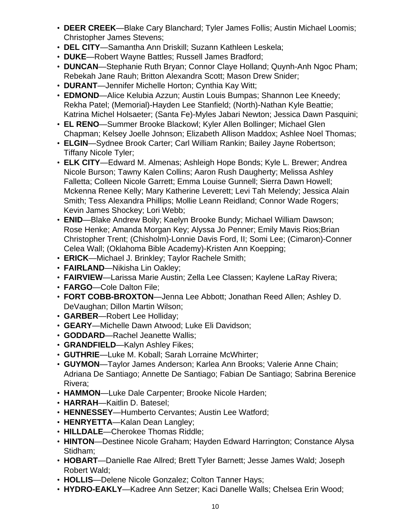- **DEER CREEK**—Blake Cary Blanchard; Tyler James Follis; Austin Michael Loomis; Christopher James Stevens;
- **DEL CITY**—Samantha Ann Driskill; Suzann Kathleen Leskela;
- **DUKE**—Robert Wayne Battles; Russell James Bradford;
- **DUNCAN**—Stephanie Ruth Bryan; Connor Claye Holland; Quynh-Anh Ngoc Pham; Rebekah Jane Rauh; Britton Alexandra Scott; Mason Drew Snider;
- **DURANT**—Jennifer Michelle Horton; Cynthia Kay Witt;
- **EDMOND**—Alice Kelubia Azzun; Austin Louis Bumpas; Shannon Lee Kneedy; Rekha Patel; (Memorial)-Hayden Lee Stanfield; (North)-Nathan Kyle Beattie; Katrina Michel Holsaeter; (Santa Fe)-Myles Jabari Newton; Jessica Dawn Pasquini;
- **EL RENO**—Summer Brooke Blackowl; Kyler Allen Bollinger; Michael Glen Chapman; Kelsey Joelle Johnson; Elizabeth Allison Maddox; Ashlee Noel Thomas;
- **ELGIN**—Sydnee Brook Carter; Carl William Rankin; Bailey Jayne Robertson; Tiffany Nicole Tyler;
- **ELK CITY**—Edward M. Almenas; Ashleigh Hope Bonds; Kyle L. Brewer; Andrea Nicole Burson; Tawny Kalen Collins; Aaron Rush Daugherty; Melissa Ashley Falletta; Colleen Nicole Garrett; Emma Louise Gunnell; Sierra Dawn Howell; Mckenna Renee Kelly; Mary Katherine Leverett; Levi Tah Melendy; Jessica Alain Smith; Tess Alexandra Phillips; Mollie Leann Reidland; Connor Wade Rogers; Kevin James Shockey; Lori Webb;
- **ENID**—Blake Andrew Boily; Kaelyn Brooke Bundy; Michael William Dawson; Rose Henke; Amanda Morgan Key; Alyssa Jo Penner; Emily Mavis Rios;Brian Christopher Trent; (Chisholm)-Lonnie Davis Ford, II; Somi Lee; (Cimaron)-Conner Celea Wall; (Oklahoma Bible Academy)-Kristen Ann Koepping;
- **ERICK**—Michael J. Brinkley; Taylor Rachele Smith;
- **FAIRLAND**—Nikisha Lin Oakley;
- **FAIRVIEW**—Larissa Marie Austin; Zella Lee Classen; Kaylene LaRay Rivera;
- **FARGO**—Cole Dalton File;
- **FORT COBB-BROXTON**—Jenna Lee Abbott; Jonathan Reed Allen; Ashley D. DeVaughan; Dillon Martin Wilson;
- **GARBER**—Robert Lee Holliday;
- **GEARY**—Michelle Dawn Atwood; Luke Eli Davidson;
- **GODDARD**—Rachel Jeanette Wallis;
- **GRANDFIELD**—Kalyn Ashley Fikes;
- **GUTHRIE**—Luke M. Koball; Sarah Lorraine McWhirter;
- **GUYMON**—Taylor James Anderson; Karlea Ann Brooks; Valerie Anne Chain; Adriana De Santiago; Annette De Santiago; Fabian De Santiago; Sabrina Berenice Rivera;
- **HAMMON**—Luke Dale Carpenter; Brooke Nicole Harden;
- **HARRAH**—Kaitlin D. Batesel;
- **HENNESSEY**—Humberto Cervantes; Austin Lee Watford;
- **HENRYETTA**—Kalan Dean Langley;
- **HILLDALE**—Cherokee Thomas Riddle;
- **HINTON**—Destinee Nicole Graham; Hayden Edward Harrington; Constance Alysa Stidham;
- **HOBART**—Danielle Rae Allred; Brett Tyler Barnett; Jesse James Wald; Joseph Robert Wald;
- **HOLLIS**—Delene Nicole Gonzalez; Colton Tanner Hays;
- **HYDRO-EAKLY**—Kadree Ann Setzer; Kaci Danelle Walls; Chelsea Erin Wood;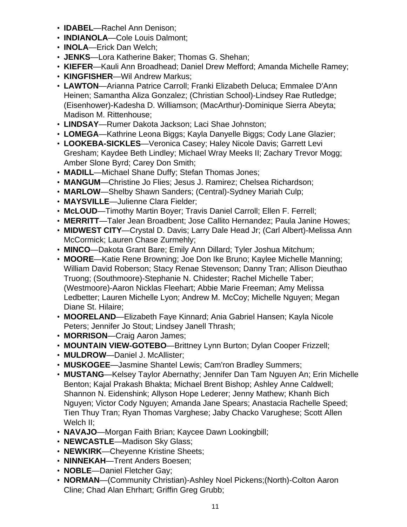- **IDABEL**—Rachel Ann Denison;
- **INDIANOLA**—Cole Louis Dalmont;
- **INOLA**—Erick Dan Welch;
- **JENKS**—Lora Katherine Baker; Thomas G. Shehan;
- **KIEFER**—Kauli Ann Broadhead; Daniel Drew Mefford; Amanda Michelle Ramey;
- **KINGFISHER**—Wil Andrew Markus;
- **LAWTON**—Arianna Patrice Carroll; Franki Elizabeth Deluca; Emmalee D'Ann Heinen; Samantha Aliza Gonzalez; (Christian School)-Lindsey Rae Rutledge; (Eisenhower)-Kadesha D. Williamson; (MacArthur)-Dominique Sierra Abeyta; Madison M. Rittenhouse;
- **LINDSAY**—Rumer Dakota Jackson; Laci Shae Johnston;
- **LOMEGA**—Kathrine Leona Biggs; Kayla Danyelle Biggs; Cody Lane Glazier;
- **LOOKEBA-SICKLES**—Veronica Casey; Haley Nicole Davis; Garrett Levi Gresham; Kaydee Beth Lindley; Michael Wray Meeks II; Zachary Trevor Mogg; Amber Slone Byrd; Carey Don Smith;
- **MADILL**—Michael Shane Duffy; Stefan Thomas Jones;
- **MANGUM**—Christine Jo Flies; Jesus J. Ramirez; Chelsea Richardson;
- **MARLOW**—Shelby Shawn Sanders; (Central)-Sydney Mariah Culp;
- **MAYSVILLE**—Julienne Clara Fielder;
- **McLOUD**—Timothy Martin Boyer; Travis Daniel Carroll; Ellen F. Ferrell;
- **MERRITT**—Taler Jean Broadbent; Jose Callito Hernandez; Paula Janine Howes;
- **MIDWEST CITY**—Crystal D. Davis; Larry Dale Head Jr; (Carl Albert)-Melissa Ann McCormick; Lauren Chase Zurmehly;
- **MINCO**—Dakota Grant Bare; Emily Ann Dillard; Tyler Joshua Mitchum;
- **MOORE**—Katie Rene Browning; Joe Don Ike Bruno; Kaylee Michelle Manning; William David Roberson; Stacy Renae Stevenson; Danny Tran; Allison Dieuthao Truong; (Southmoore)-Stephanie N. Chidester; Rachel Michelle Taber; (Westmoore)-Aaron Nicklas Fleehart; Abbie Marie Freeman; Amy Melissa Ledbetter; Lauren Michelle Lyon; Andrew M. McCoy; Michelle Nguyen; Megan Diane St. Hilaire;
- **MOORELAND**—Elizabeth Faye Kinnard; Ania Gabriel Hansen; Kayla Nicole Peters; Jennifer Jo Stout; Lindsey Janell Thrash;
- **MORRISON**—Craig Aaron James;
- **MOUNTAIN VIEW-GOTEBO**—Brittney Lynn Burton; Dylan Cooper Frizzell;
- **MULDROW**—Daniel J. McAllister;
- **MUSKOGEE**—Jasmine Shantel Lewis; Cam'ron Bradley Summers;
- **MUSTANG**—Kelsey Taylor Abernathy; Jennifer Dan Tam Nguyen An; Erin Michelle Benton; Kajal Prakash Bhakta; Michael Brent Bishop; Ashley Anne Caldwell; Shannon N. Eidenshink; Allyson Hope Lederer; Jenny Mathew; Khanh Bich Nguyen; Victor Cody Nguyen; Amanda Jane Spears; Anastacia Rachelle Speed; Tien Thuy Tran; Ryan Thomas Varghese; Jaby Chacko Varughese; Scott Allen Welch II;
- **NAVAJO**—Morgan Faith Brian; Kaycee Dawn Lookingbill;
- **NEWCASTLE**—Madison Sky Glass;
- **NEWKIRK**—Cheyenne Kristine Sheets;
- **NINNEKAH**—Trent Anders Boesen;
- **NOBLE**—Daniel Fletcher Gay;
- **NORMAN**—(Community Christian)-Ashley Noel Pickens;(North)-Colton Aaron Cline; Chad Alan Ehrhart; Griffin Greg Grubb;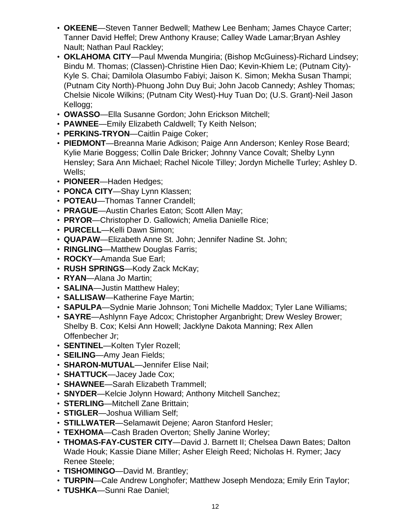- **OKEENE**—Steven Tanner Bedwell; Mathew Lee Benham; James Chayce Carter; Tanner David Heffel; Drew Anthony Krause; Calley Wade Lamar;Bryan Ashley Nault; Nathan Paul Rackley;
- **OKLAHOMA CITY**—Paul Mwenda Mungiria; (Bishop McGuiness)-Richard Lindsey; Bindu M. Thomas; (Classen)-Christine Hien Dao; Kevin-Khiem Le; (Putnam City)- Kyle S. Chai; Damilola Olasumbo Fabiyi; Jaison K. Simon; Mekha Susan Thampi; (Putnam City North)-Phuong John Duy Bui; John Jacob Cannedy; Ashley Thomas; Chelsie Nicole Wilkins; (Putnam City West)-Huy Tuan Do; (U.S. Grant)-Neil Jason Kellogg;
- **OWASSO**—Ella Susanne Gordon; John Erickson Mitchell;
- **PAWNEE**—Emily Elizabeth Caldwell; Ty Keith Nelson;
- **PERKINS-TRYON**—Caitlin Paige Coker;
- **PIEDMONT**—Breanna Marie Adkison; Paige Ann Anderson; Kenley Rose Beard; Kylie Marie Boggess; Collin Dale Bricker; Johnny Vance Covalt; Shelby Lynn Hensley; Sara Ann Michael; Rachel Nicole Tilley; Jordyn Michelle Turley; Ashley D. Wells;
- **PIONEER**—Haden Hedges;
- **PONCA CITY**—Shay Lynn Klassen;
- **POTEAU**—Thomas Tanner Crandell;
- **PRAGUE**—Austin Charles Eaton; Scott Allen May;
- **PRYOR**—Christopher D. Gallowich; Amelia Danielle Rice;
- **PURCELL**—Kelli Dawn Simon;
- **QUAPAW**—Elizabeth Anne St. John; Jennifer Nadine St. John;
- **RINGLING**—Matthew Douglas Farris;
- **ROCKY**—Amanda Sue Earl;
- **RUSH SPRINGS**—Kody Zack McKay;
- **RYAN**—Alana Jo Martin;
- **SALINA**—Justin Matthew Haley;
- **SALLISAW**—Katherine Faye Martin;
- **SAPULPA**—Sydnie Marie Johnson; Toni Michelle Maddox; Tyler Lane Williams;
- **SAYRE**—Ashlynn Faye Adcox; Christopher Arganbright; Drew Wesley Brower; Shelby B. Cox; Kelsi Ann Howell; Jacklyne Dakota Manning; Rex Allen Offenbecher Jr;
- **SENTINEL**—Kolten Tyler Rozell;
- **SEILING**—Amy Jean Fields;
- **SHARON-MUTUAL**—Jennifer Elise Nail;
- **SHATTUCK**—Jacey Jade Cox;
- **SHAWNEE**—Sarah Elizabeth Trammell;
- **SNYDER**—Kelcie Jolynn Howard; Anthony Mitchell Sanchez;
- **STERLING**—Mitchell Zane Brittain;
- **STIGLER**—Joshua William Self;
- **STILLWATER**—Selamawit Dejene; Aaron Stanford Hesler;
- **TEXHOMA**—Cash Braden Overton; Shelly Janine Worley;
- **THOMAS-FAY-CUSTER CITY**—David J. Barnett II; Chelsea Dawn Bates; Dalton Wade Houk; Kassie Diane Miller; Asher Eleigh Reed; Nicholas H. Rymer; Jacy Renee Steele;
- **TISHOMINGO**—David M. Brantley;
- **TURPIN**—Cale Andrew Longhofer; Matthew Joseph Mendoza; Emily Erin Taylor;
- **TUSHKA**—Sunni Rae Daniel;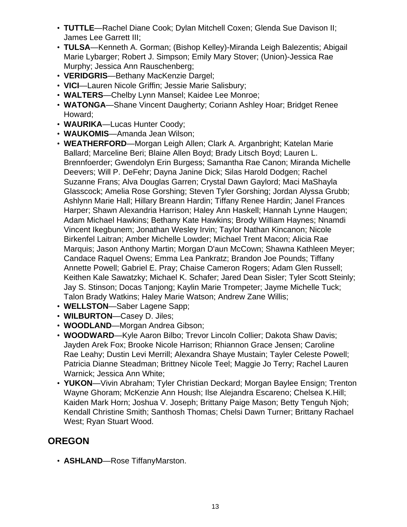- **TUTTLE**—Rachel Diane Cook; Dylan Mitchell Coxen; Glenda Sue Davison II; James Lee Garrett III;
- **TULSA**—Kenneth A. Gorman; (Bishop Kelley)-Miranda Leigh Balezentis; Abigail Marie Lybarger; Robert J. Simpson; Emily Mary Stover; (Union)-Jessica Rae Murphy; Jessica Ann Rauschenberg;
- **VERIDGRIS**—Bethany MacKenzie Dargel;
- **VICI**—Lauren Nicole Griffin; Jessie Marie Salisbury;
- **WALTERS**—Chelby Lynn Mansel; Kaidee Lee Monroe;
- **WATONGA**—Shane Vincent Daugherty; Coriann Ashley Hoar; Bridget Renee Howard;
- **WAURIKA**—Lucas Hunter Coody;
- **WAUKOMIS**—Amanda Jean Wilson;
- **WEATHERFORD**—Morgan Leigh Allen; Clark A. Arganbright; Katelan Marie Ballard; Marceline Beri; Blaine Allen Boyd; Brady Litsch Boyd; Lauren L. Brennfoerder; Gwendolyn Erin Burgess; Samantha Rae Canon; Miranda Michelle Deevers; Will P. DeFehr; Dayna Janine Dick; Silas Harold Dodgen; Rachel Suzanne Frans; Alva Douglas Garren; Crystal Dawn Gaylord; Maci MaShayla Glasscock; Amelia Rose Gorshing; Steven Tyler Gorshing; Jordan Alyssa Grubb; Ashlynn Marie Hall; Hillary Breann Hardin; Tiffany Renee Hardin; Janel Frances Harper; Shawn Alexandria Harrison; Haley Ann Haskell; Hannah Lynne Haugen; Adam Michael Hawkins; Bethany Kate Hawkins; Brody William Haynes; Nnamdi Vincent Ikegbunem; Jonathan Wesley Irvin; Taylor Nathan Kincanon; Nicole Birkenfel Laitran; Amber Michelle Lowder; Michael Trent Macon; Alicia Rae Marquis; Jason Anthony Martin; Morgan D'aun McCown; Shawna Kathleen Meyer; Candace Raquel Owens; Emma Lea Pankratz; Brandon Joe Pounds; Tiffany Annette Powell; Gabriel E. Pray; Chaise Cameron Rogers; Adam Glen Russell; Keithen Kale Sawatzky; Michael K. Schafer; Jared Dean Sisler; Tyler Scott Steinly; Jay S. Stinson; Docas Tanjong; Kaylin Marie Trompeter; Jayme Michelle Tuck; Talon Brady Watkins; Haley Marie Watson; Andrew Zane Willis;
- **WELLSTON**—Saber Lagene Sapp;
- **WILBURTON**—Casey D. Jiles;
- **WOODLAND**—Morgan Andrea Gibson;
- **WOODWARD**—Kyle Aaron Bilbo; Trevor Lincoln Collier; Dakota Shaw Davis; Jayden Arek Fox; Brooke Nicole Harrison; Rhiannon Grace Jensen; Caroline Rae Leahy; Dustin Levi Merrill; Alexandra Shaye Mustain; Tayler Celeste Powell; Patricia Dianne Steadman; Brittney Nicole Teel; Maggie Jo Terry; Rachel Lauren Warnick; Jessica Ann White;
- **YUKON**—Vivin Abraham; Tyler Christian Deckard; Morgan Baylee Ensign; Trenton Wayne Ghoram; McKenzie Ann Housh; Ilse Alejandra Escareno; Chelsea K.Hill; Kaiden Mark Horn; Joshua V. Joseph; Brittany Paige Mason; Betty Tenguh Njoh; Kendall Christine Smith; Santhosh Thomas; Chelsi Dawn Turner; Brittany Rachael West; Ryan Stuart Wood.

# **OREGON**

• **ASHLAND**—Rose TiffanyMarston.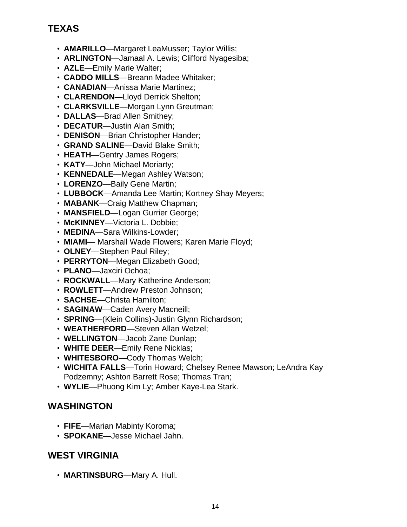# **TEXAS**

- **AMARILLO**—Margaret LeaMusser; Taylor Willis;
- **ARLINGTON**—Jamaal A. Lewis; Clifford Nyagesiba;
- **AZLE**—Emily Marie Walter;
- **CADDO MILLS**—Breann Madee Whitaker;
- **CANADIAN**—Anissa Marie Martinez;
- **CLARENDON**—Lloyd Derrick Shelton;
- **CLARKSVILLE**—Morgan Lynn Greutman;
- **DALLAS**—Brad Allen Smithey;
- **DECATUR**—Justin Alan Smith;
- **DENISON**—Brian Christopher Hander;
- **GRAND SALINE**—David Blake Smith;
- **HEATH**—Gentry James Rogers;
- **KATY**—John Michael Moriarty;
- **KENNEDALE**—Megan Ashley Watson;
- **LORENZO**—Baily Gene Martin;
- **LUBBOCK**—Amanda Lee Martin; Kortney Shay Meyers;
- **MABANK**—Craig Matthew Chapman;
- **MANSFIELD**—Logan Gurrier George;
- **McKINNEY**—Victoria L. Dobbie;
- **MEDINA**—Sara Wilkins-Lowder;
- **MIAMI** Marshall Wade Flowers; Karen Marie Floyd;
- **OLNEY**—Stephen Paul Riley;
- **PERRYTON**—Megan Elizabeth Good;
- **PLANO**—Jaxciri Ochoa;
- **ROCKWALL**—Mary Katherine Anderson;
- **ROWLETT**—Andrew Preston Johnson;
- **SACHSE**—Christa Hamilton;
- **SAGINAW**—Caden Avery Macneill;
- **SPRING**—(Klein Collins)-Justin Glynn Richardson;
- **WEATHERFORD**—Steven Allan Wetzel;
- **WELLINGTON**—Jacob Zane Dunlap;
- **WHITE DEER**—Emily Rene Nicklas;
- **WHITESBORO**—Cody Thomas Welch;
- **WICHITA FALLS**—Torin Howard; Chelsey Renee Mawson; LeAndra Kay Podzemny; Ashton Barrett Rose; Thomas Tran;
- **WYLIE**—Phuong Kim Ly; Amber Kaye-Lea Stark.

# **WASHINGTON**

- **FIFE**—Marian Mabinty Koroma;
- **SPOKANE**—Jesse Michael Jahn.

# **WEST VIRGINIA**

• **MARTINSBURG**—Mary A. Hull.